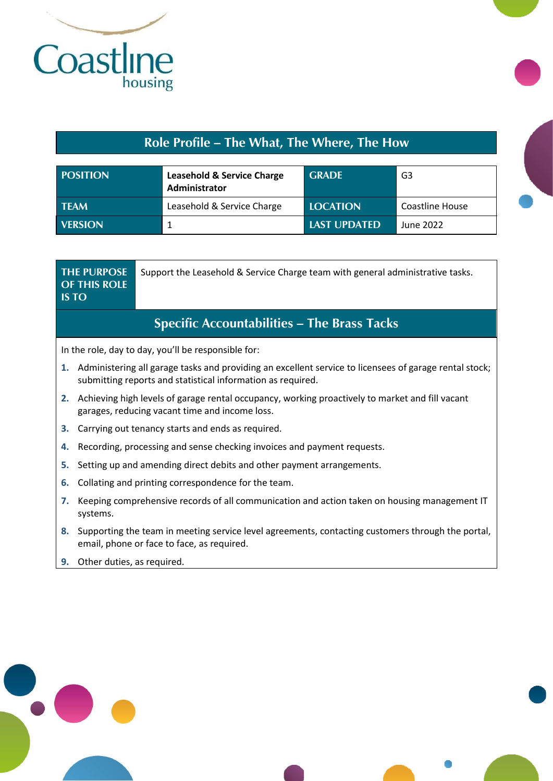

## **Role Profile – The What, The Where, The How**

| <b>POSITION</b> | <b>Leasehold &amp; Service Charge</b><br>Administrator | <b>GRADE</b>        | G3              |
|-----------------|--------------------------------------------------------|---------------------|-----------------|
| <b>TFAM</b>     | Leasehold & Service Charge                             | <b>LOCATION</b>     | Coastline House |
| <b>VERSION</b>  |                                                        | <b>LAST UPDATED</b> | June 2022       |

|    | <b>OF THIS ROLE</b><br><b>IS TO</b>                                                                                                                                   | Support the Leasehold & Service Charge team with general administrative tasks. |  |
|----|-----------------------------------------------------------------------------------------------------------------------------------------------------------------------|--------------------------------------------------------------------------------|--|
|    |                                                                                                                                                                       | <b>Specific Accountabilities – The Brass Tacks</b>                             |  |
|    |                                                                                                                                                                       | In the role, day to day, you'll be responsible for:                            |  |
| 1. | Administering all garage tasks and providing an excellent service to licensees of garage rental stock;<br>submitting reports and statistical information as required. |                                                                                |  |
| 2. | Achieving high levels of garage rental occupancy, working proactively to market and fill vacant<br>garages, reducing vacant time and income loss.                     |                                                                                |  |
| З. | Carrying out tenancy starts and ends as required.                                                                                                                     |                                                                                |  |
| 4. | Recording, processing and sense checking invoices and payment requests.                                                                                               |                                                                                |  |
| 5. | Setting up and amending direct debits and other payment arrangements.                                                                                                 |                                                                                |  |
| 6. | Collating and printing correspondence for the team.                                                                                                                   |                                                                                |  |
| 7. | Keeping comprehensive records of all communication and action taken on housing management IT<br>systems.                                                              |                                                                                |  |
| 8. | Supporting the team in meeting service level agreements, contacting customers through the portal,<br>email, phone or face to face, as required.                       |                                                                                |  |
| 9. | Other duties, as required.                                                                                                                                            |                                                                                |  |